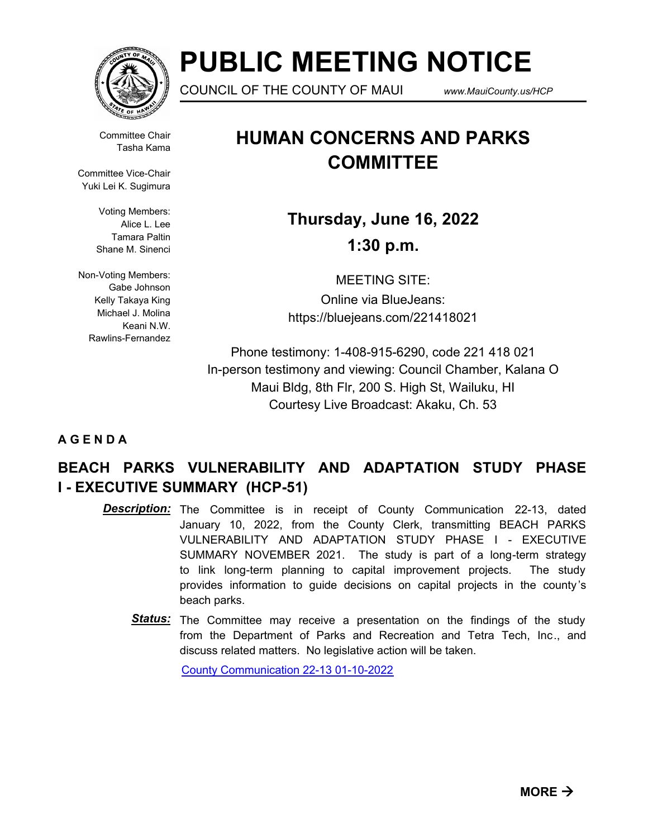

# **PUBLIC MEETING NOTICE**

COUNCIL OF THE COUNTY OF MAUI *www.MauiCounty.us/HCP*

Committee Chair Tasha Kama

Committee Vice-Chair Yuki Lei K. Sugimura

> Voting Members: Alice L. Lee Tamara Paltin Shane M. Sinenci

Non-Voting Members: Gabe Johnson Kelly Takaya King Michael J. Molina Keani N.W. Rawlins-Fernandez

## **HUMAN CONCERNS AND PARKS COMMITTEE**

**Thursday, June 16, 2022 1:30 p.m.**

MEETING SITE: Online via BlueJeans: https://bluejeans.com/221418021

Phone testimony: 1-408-915-6290, code 221 418 021 In-person testimony and viewing: Council Chamber, Kalana O Maui Bldg, 8th Flr, 200 S. High St, Wailuku, HI Courtesy Live Broadcast: Akaku, Ch. 53

### **A G E N D A**

### **BEACH PARKS VULNERABILITY AND ADAPTATION STUDY PHASE I - EXECUTIVE SUMMARY (HCP-51)**

- **Description:** The Committee is in receipt of County Communication 22-13, dated January 10, 2022, from the County Clerk, transmitting BEACH PARKS VULNERABILITY AND ADAPTATION STUDY PHASE I - EXECUTIVE SUMMARY NOVEMBER 2021. The study is part of a long-term strategy to link long-term planning to capital improvement projects. The study provides information to guide decisions on capital projects in the county 's beach parks.
	- Status: The Committee may receive a presentation on the findings of the study from the Department of Parks and Recreation and Tetra Tech, Inc., and discuss related matters. No legislative action will be taken.

[County Communication 22-13 01-10-2022](http://mauicounty.legistar.com/gateway.aspx?M=F&ID=b686fa60-913d-487c-b792-49316da90963.pdf)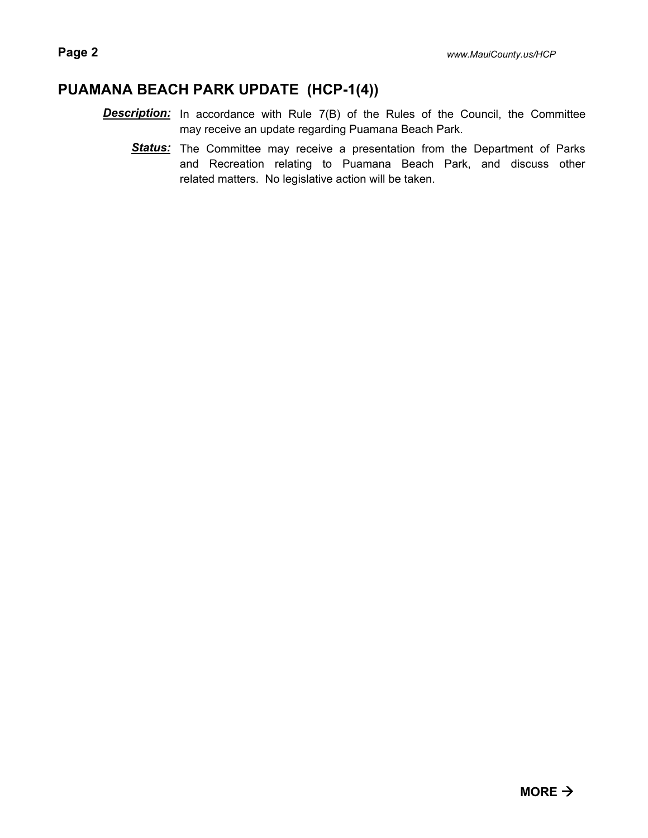### **PUAMANA BEACH PARK UPDATE (HCP-1(4))**

- **Description:** In accordance with Rule 7(B) of the Rules of the Council, the Committee may receive an update regarding Puamana Beach Park.
	- Status: The Committee may receive a presentation from the Department of Parks and Recreation relating to Puamana Beach Park, and discuss other related matters. No legislative action will be taken.